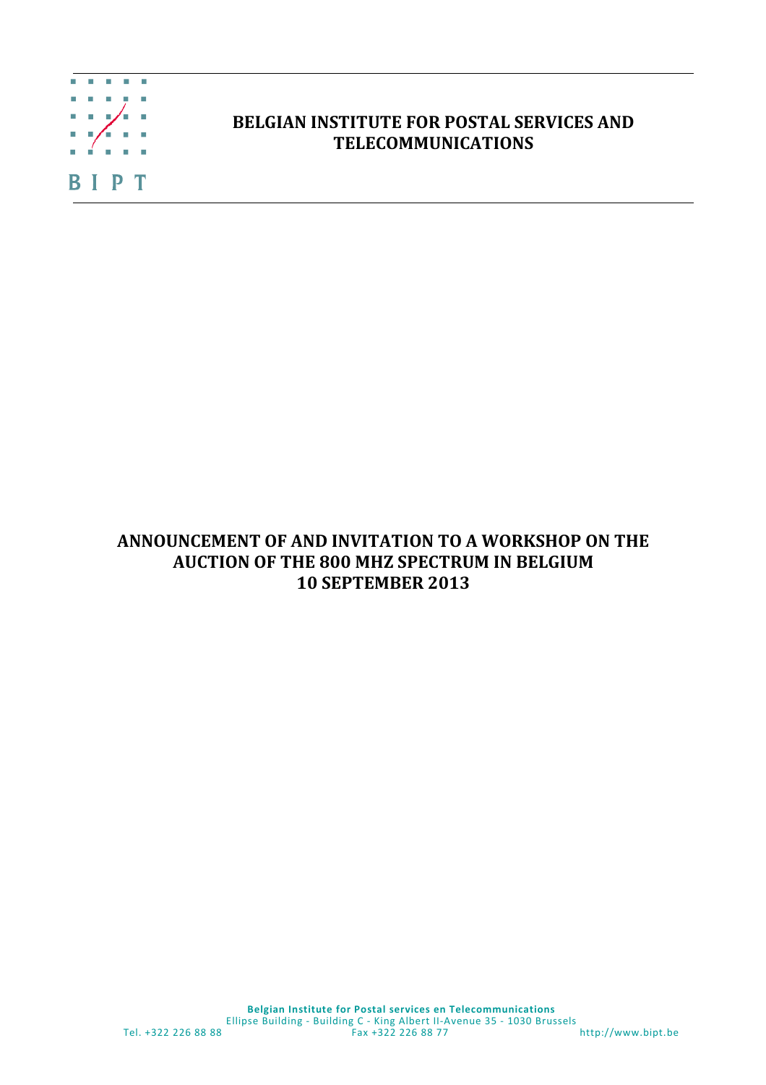

## **BELGIAN INSTITUTE FOR POSTAL SERVICES AND TELECOMMUNICATIONS**

## **ANNOUNCEMENT OF AND INVITATION TO A WORKSHOP ON THE AUCTION OF THE 800 MHZ SPECTRUM IN BELGIUM 10 SEPTEMBER 2013**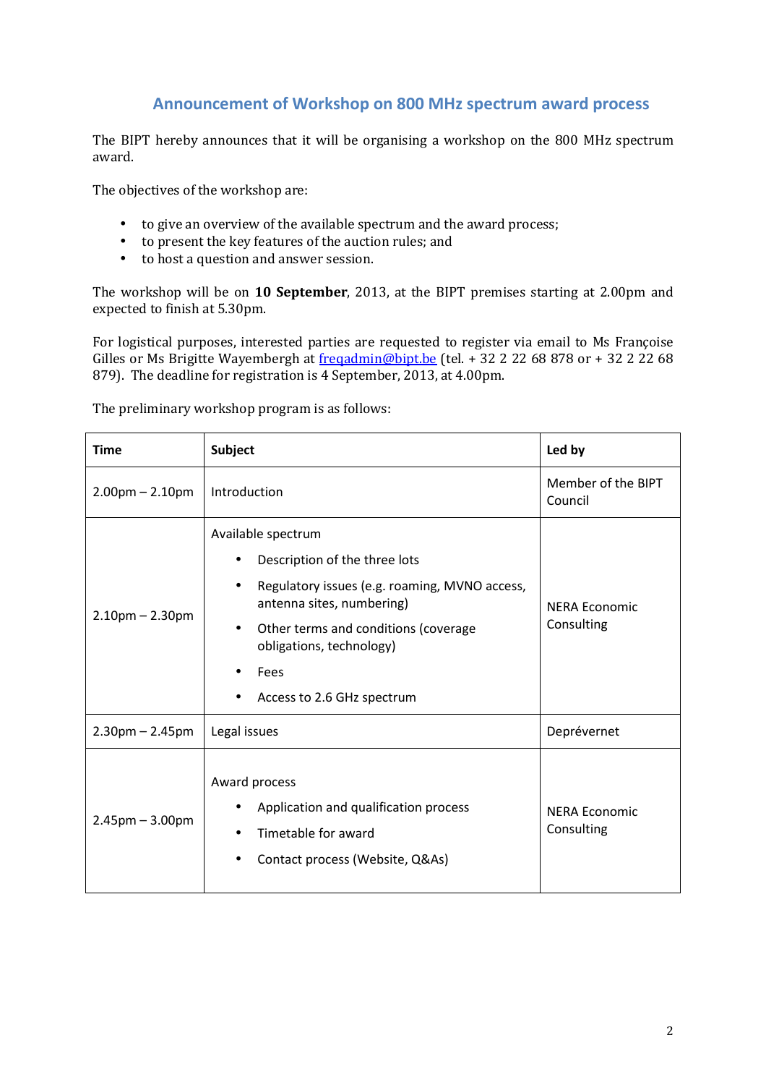## **Announcement of Workshop on 800 MHz spectrum award process**

The BIPT hereby announces that it will be organising a workshop on the 800 MHz spectrum award.

The objectives of the workshop are:

- to give an overview of the available spectrum and the award process;
- to present the key features of the auction rules; and
- to host a question and answer session.

The workshop will be on **10 September**, 2013, at the BIPT premises starting at 2.00pm and expected to finish at 5.30pm.

For logistical purposes, interested parties are requested to register via email to Ms Françoise Gilles or Ms Brigitte Wayembergh at freqadmin@bipt.be (tel. + 32 2 22 68 878 or + 32 2 22 68 879). The deadline for registration is 4 September, 2013, at 4.00pm.

| <b>Time</b>           | <b>Subject</b>                                                                                                                                                                                                                              | Led by                             |
|-----------------------|---------------------------------------------------------------------------------------------------------------------------------------------------------------------------------------------------------------------------------------------|------------------------------------|
| $2.00$ pm $- 2.10$ pm | Introduction                                                                                                                                                                                                                                | Member of the BIPT<br>Council      |
| $2.10$ pm – 2.30pm    | Available spectrum<br>Description of the three lots<br>Regulatory issues (e.g. roaming, MVNO access,<br>antenna sites, numbering)<br>Other terms and conditions (coverage<br>obligations, technology)<br>Fees<br>Access to 2.6 GHz spectrum | <b>NERA Economic</b><br>Consulting |
| $2.30$ pm – 2.45pm    | Legal issues                                                                                                                                                                                                                                | Deprévernet                        |
| $2.45$ pm $- 3.00$ pm | Award process<br>Application and qualification process<br>Timetable for award<br>Contact process (Website, Q&As)                                                                                                                            | <b>NERA Economic</b><br>Consulting |

The preliminary workshop program is as follows: